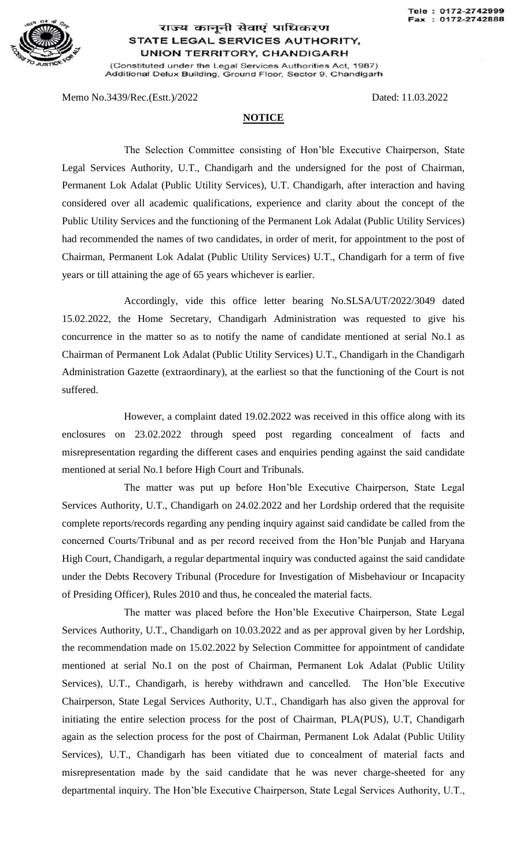

## राज्य कानूनी सेवाएं प्राधिकरण STATE LEGAL SERVICES AUTHORITY, **UNION TERRITORY, CHANDIGARH**

(Constituted under the Legal Services Authorities Act, 1987) Additional Delux Building, Ground Floor, Sector 9, Chandigarh

Memo No.3439/Rec.(Estt.)/2022 Dated: 11.03.2022

## **NOTICE**

The Selection Committee consisting of Hon'ble Executive Chairperson, State Legal Services Authority, U.T., Chandigarh and the undersigned for the post of Chairman, Permanent Lok Adalat (Public Utility Services), U.T. Chandigarh, after interaction and having considered over all academic qualifications, experience and clarity about the concept of the Public Utility Services and the functioning of the Permanent Lok Adalat (Public Utility Services) had recommended the names of two candidates, in order of merit, for appointment to the post of Chairman, Permanent Lok Adalat (Public Utility Services) U.T., Chandigarh for a term of five years or till attaining the age of 65 years whichever is earlier.

Accordingly, vide this office letter bearing No.SLSA/UT/2022/3049 dated 15.02.2022, the Home Secretary, Chandigarh Administration was requested to give his concurrence in the matter so as to notify the name of candidate mentioned at serial No.1 as Chairman of Permanent Lok Adalat (Public Utility Services) U.T., Chandigarh in the Chandigarh Administration Gazette (extraordinary), at the earliest so that the functioning of the Court is not suffered.

However, a complaint dated 19.02.2022 was received in this office along with its enclosures on 23.02.2022 through speed post regarding concealment of facts and misrepresentation regarding the different cases and enquiries pending against the said candidate mentioned at serial No.1 before High Court and Tribunals.

The matter was put up before Hon'ble Executive Chairperson, State Legal Services Authority, U.T., Chandigarh on 24.02.2022 and her Lordship ordered that the requisite complete reports/records regarding any pending inquiry against said candidate be called from the concerned Courts/Tribunal and as per record received from the Hon'ble Punjab and Haryana High Court, Chandigarh, a regular departmental inquiry was conducted against the said candidate under the Debts Recovery Tribunal (Procedure for Investigation of Misbehaviour or Incapacity of Presiding Officer), Rules 2010 and thus, he concealed the material facts.

The matter was placed before the Hon'ble Executive Chairperson, State Legal Services Authority, U.T., Chandigarh on 10.03.2022 and as per approval given by her Lordship, the recommendation made on 15.02.2022 by Selection Committee for appointment of candidate mentioned at serial No.1 on the post of Chairman, Permanent Lok Adalat (Public Utility Services), U.T., Chandigarh, is hereby withdrawn and cancelled. The Hon'ble Executive Chairperson, State Legal Services Authority, U.T., Chandigarh has also given the approval for initiating the entire selection process for the post of Chairman, PLA(PUS), U.T, Chandigarh again as the selection process for the post of Chairman, Permanent Lok Adalat (Public Utility Services), U.T., Chandigarh has been vitiated due to concealment of material facts and misrepresentation made by the said candidate that he was never charge-sheeted for any departmental inquiry. The Hon'ble Executive Chairperson, State Legal Services Authority, U.T.,